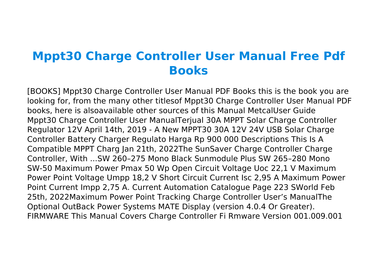## **Mppt30 Charge Controller User Manual Free Pdf Books**

[BOOKS] Mppt30 Charge Controller User Manual PDF Books this is the book you are looking for, from the many other titlesof Mppt30 Charge Controller User Manual PDF books, here is alsoavailable other sources of this Manual MetcalUser Guide Mppt30 Charge Controller User ManualTerjual 30A MPPT Solar Charge Controller Regulator 12V April 14th, 2019 - A New MPPT30 30A 12V 24V USB Solar Charge Controller Battery Charger Regulato Harga Rp 900 000 Descriptions This Is A Compatible MPPT Charg Jan 21th, 2022The SunSaver Charge Controller Charge Controller, With ...SW 260–275 Mono Black Sunmodule Plus SW 265–280 Mono SW-50 Maximum Power Pmax 50 Wp Open Circuit Voltage Uoc 22,1 V Maximum Power Point Voltage Umpp 18,2 V Short Circuit Current Isc 2,95 A Maximum Power Point Current Impp 2,75 A. Current Automation Catalogue Page 223 SWorld Feb 25th, 2022Maximum Power Point Tracking Charge Controller User's ManualThe Optional OutBack Power Systems MATE Display (version 4.0.4 Or Greater). FIRMWARE This Manual Covers Charge Controller Fi Rmware Version 001.009.001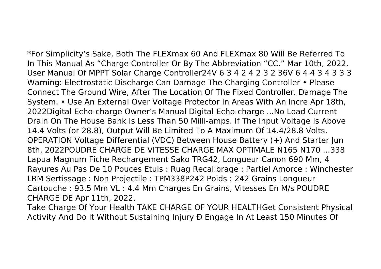\*For Simplicity's Sake, Both The FLEXmax 60 And FLEXmax 80 Will Be Referred To In This Manual As "Charge Controller Or By The Abbreviation "CC." Mar 10th, 2022. User Manual Of MPPT Solar Charge Controller24V 6 3 4 2 4 2 3 2 36V 6 4 4 3 4 3 3 3 Warning: Electrostatic Discharge Can Damage The Charging Controller • Please Connect The Ground Wire, After The Location Of The Fixed Controller. Damage The System. • Use An External Over Voltage Protector In Areas With An Incre Apr 18th, 2022Digital Echo-charge Owner's Manual Digital Echo-charge ...No Load Current Drain On The House Bank Is Less Than 50 Milli-amps. If The Input Voltage Is Above 14.4 Volts (or 28.8), Output Will Be Limited To A Maximum Of 14.4/28.8 Volts. OPERATION Voltage Differential (VDC) Between House Battery (+) And Starter Jun 8th, 2022POUDRE CHARGE DE VITESSE CHARGE MAX OPTIMALE N165 N170 ...338 Lapua Magnum Fiche Rechargement Sako TRG42, Longueur Canon 690 Mm, 4 Rayures Au Pas De 10 Pouces Etuis : Ruag Recalibrage : Partiel Amorce : Winchester LRM Sertissage : Non Projectile : TPM338P242 Poids : 242 Grains Longueur Cartouche : 93.5 Mm VL : 4.4 Mm Charges En Grains, Vitesses En M/s POUDRE CHARGE DE Apr 11th, 2022.

Take Charge Of Your Health TAKE CHARGE OF YOUR HEALTHGet Consistent Physical Activity And Do It Without Sustaining Injury Ð Engage In At Least 150 Minutes Of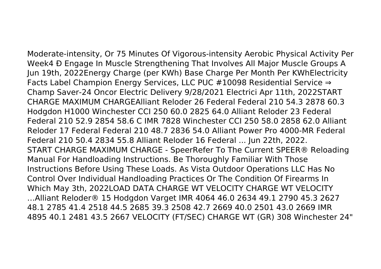Moderate-intensity, Or 75 Minutes Of Vigorous-intensity Aerobic Physical Activity Per Week4 Ð Engage In Muscle Strengthening That Involves All Major Muscle Groups A Jun 19th, 2022Energy Charge (per KWh) Base Charge Per Month Per KWhElectricity Facts Label Champion Energy Services, LLC PUC #10098 Residential Service ⇒ Champ Saver-24 Oncor Electric Delivery 9/28/2021 Electrici Apr 11th, 2022START CHARGE MAXIMUM CHARGEAlliant Reloder 26 Federal Federal 210 54.3 2878 60.3 Hodgdon H1000 Winchester CCI 250 60.0 2825 64.0 Alliant Reloder 23 Federal Federal 210 52.9 2854 58.6 C IMR 7828 Winchester CCI 250 58.0 2858 62.0 Alliant Reloder 17 Federal Federal 210 48.7 2836 54.0 Alliant Power Pro 4000-MR Federal Federal 210 50.4 2834 55.8 Alliant Reloder 16 Federal ... Jun 22th, 2022. START CHARGE MAXIMUM CHARGE - SpeerRefer To The Current SPEER® Reloading Manual For Handloading Instructions. Be Thoroughly Familiar With Those Instructions Before Using These Loads. As Vista Outdoor Operations LLC Has No Control Over Individual Handloading Practices Or The Condition Of Firearms In Which May 3th, 2022LOAD DATA CHARGE WT VELOCITY CHARGE WT VELOCITY …Alliant Reloder® 15 Hodgdon Varget IMR 4064 46.0 2634 49.1 2790 45.3 2627 48.1 2785 41.4 2518 44.5 2685 39.3 2508 42.7 2669 40.0 2501 43.0 2669 IMR 4895 40.1 2481 43.5 2667 VELOCITY (FT/SEC) CHARGE WT (GR) 308 Winchester 24"